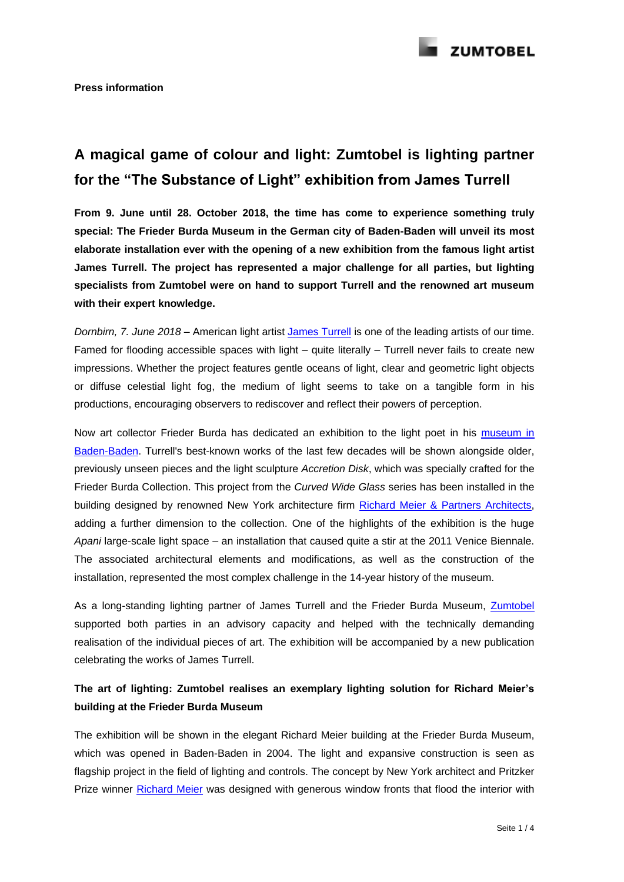

# **A magical game of colour and light: Zumtobel is lighting partner for the "The Substance of Light" exhibition from James Turrell**

**From 9. June until 28. October 2018, the time has come to experience something truly special: The Frieder Burda Museum in the German city of Baden-Baden will unveil its most elaborate installation ever with the opening of a new exhibition from the famous light artist James Turrell. The project has represented a major challenge for all parties, but lighting specialists from Zumtobel were on hand to support Turrell and the renowned art museum with their expert knowledge.**

*Dornbirn, 7. June 2018 –* American light artist [James Turrell](http://jamesturrell.com/) is one of the leading artists of our time. Famed for flooding accessible spaces with light – quite literally – Turrell never fails to create new impressions. Whether the project features gentle oceans of light, clear and geometric light objects or diffuse celestial light fog, the medium of light seems to take on a tangible form in his productions, encouraging observers to rediscover and reflect their powers of perception.

Now art collector Frieder Burda has dedicated an exhibition to the light poet in his [museum in](https://www.museum-frieder-burda.de/de/museum/architektur/)  [Baden-Baden.](https://www.museum-frieder-burda.de/de/museum/architektur/) Turrell's best-known works of the last few decades will be shown alongside older, previously unseen pieces and the light sculpture *Accretion Disk*, which was specially crafted for the Frieder Burda Collection. This project from the *Curved Wide Glass* series has been installed in the building designed by renowned New York architecture firm [Richard Meier & Partners Architects,](http://www.richardmeier.com/) adding a further dimension to the collection. One of the highlights of the exhibition is the huge *Apani* large-scale light space – an installation that caused quite a stir at the 2011 Venice Biennale. The associated architectural elements and modifications, as well as the construction of the installation, represented the most complex challenge in the 14-year history of the museum.

As a long-standing lighting partner of James Turrell and the Frieder Burda Museum, [Zumtobel](http://www.zumtobel.com/com-en/index.html) supported both parties in an advisory capacity and helped with the technically demanding realisation of the individual pieces of art. The exhibition will be accompanied by a new publication celebrating the works of James Turrell.

## **The art of lighting: Zumtobel realises an exemplary lighting solution for Richard Meier's building at the Frieder Burda Museum**

The exhibition will be shown in the elegant Richard Meier building at the Frieder Burda Museum, which was opened in Baden-Baden in 2004. The light and expansive construction is seen as flagship project in the field of lighting and controls. The concept by New York architect and Pritzker Prize winner [Richard Meier](https://www.museum-frieder-burda.de/de/museum/architektur/richard-meier/) was designed with generous window fronts that flood the interior with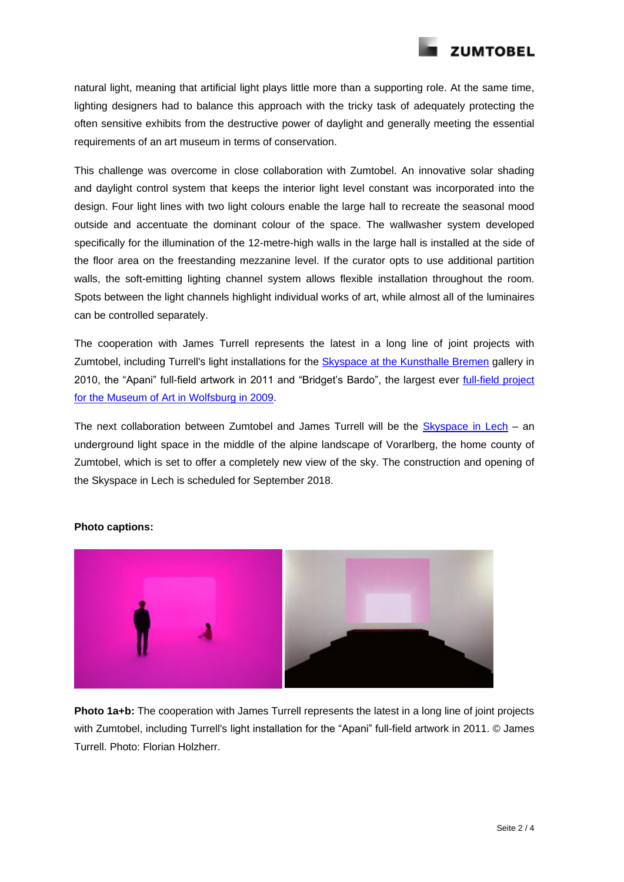

natural light, meaning that artificial light plays little more than a supporting role. At the same time, lighting designers had to balance this approach with the tricky task of adequately protecting the often sensitive exhibits from the destructive power of daylight and generally meeting the essential requirements of an art museum in terms of conservation.

This challenge was overcome in close collaboration with Zumtobel. An innovative solar shading and daylight control system that keeps the interior light level constant was incorporated into the design. Four light lines with two light colours enable the large hall to recreate the seasonal mood outside and accentuate the dominant colour of the space. The wallwasher system developed specifically for the illumination of the 12-metre-high walls in the large hall is installed at the side of the floor area on the freestanding mezzanine level. If the curator opts to use additional partition walls, the soft-emitting lighting channel system allows flexible installation throughout the room. Spots between the light channels highlight individual works of art, while almost all of the luminaires can be controlled separately.

The cooperation with James Turrell represents the latest in a long line of joint projects with Zumtobel, including Turrell's light installations for the Skyspace at [the Kunsthalle Bremen](https://www.zumtobel.com/media/downloads/PR-ZT_James_Turrell_above_between_below_EN.pdf) gallery in 2010, the "Apani" full-field artwork in 2011 and "Bridget's Bardo", the largest ever [full-field project](https://www.kunstmuseum-wolfsburg.de/ausstellungen/james-turrell-the-wolfsburg-project/) for [the Museum of Art in](https://www.kunstmuseum-wolfsburg.de/ausstellungen/james-turrell-the-wolfsburg-project/) Wolfsburg in 2009.

The next collaboration between Zumtobel and James Turrell will be the  $Skyspace$  in Lech – an underground light space in the middle of the alpine landscape of Vorarlberg, the home county of Zumtobel, which is set to offer a completely new view of the sky. The construction and opening of the Skyspace in Lech is scheduled for September 2018.



### **Photo captions:**

**Photo 1a+b:** The cooperation with James Turrell represents the latest in a long line of joint projects with Zumtobel, including Turrell's light installation for the "Apani" full-field artwork in 2011. © James Turrell. Photo: Florian Holzherr.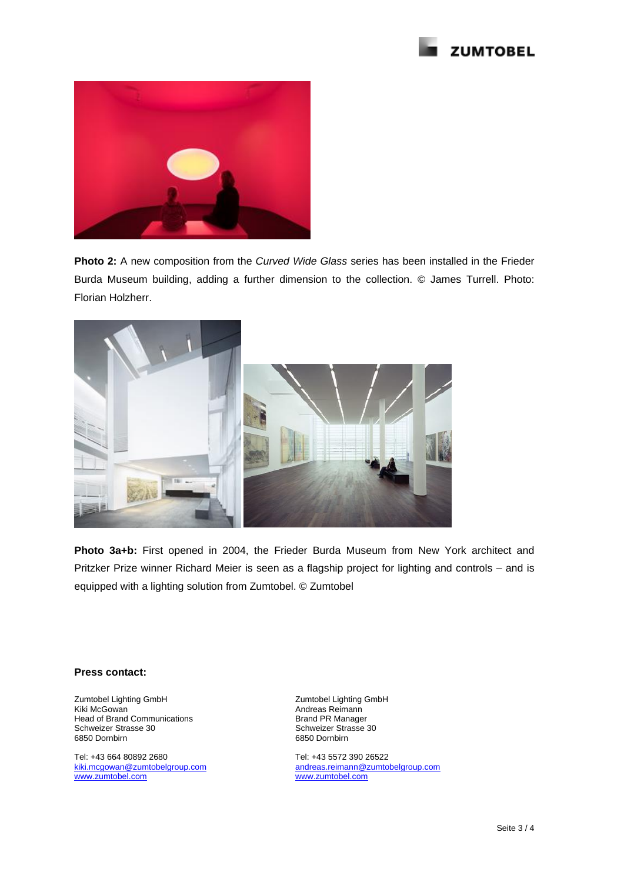



**Photo 2:** A new composition from the *Curved Wide Glass* series has been installed in the Frieder Burda Museum building, adding a further dimension to the collection. © James Turrell. Photo: Florian Holzherr.



**Photo 3a+b:** First opened in 2004, the Frieder Burda Museum from New York architect and Pritzker Prize winner Richard Meier is seen as a flagship project for lighting and controls – and is equipped with a lighting solution from Zumtobel. © Zumtobel

#### **Press contact:**

Zumtobel Lighting GmbH Kiki McGowan Head of Brand Communications Schweizer Strasse 30 6850 Dornbirn

Tel: +43 664 80892 2680 [kiki.mcgowan@zumtobelgroup.com](mailto:kiki.mcgowan@zumtobelgroup.com) [www.zumtobel.com](http://www.zumtobel.com/)

Zumtobel Lighting GmbH Andreas Reimann Brand PR Manager Schweizer Strasse 30 6850 Dornbirn

Tel: +43 5572 390 26522 [andreas.reimann@zumtobelgroup.com](mailto:andreas.reimann@zumtobelgroup.com) [www.zumtobel.com](http://www.zumtobel.com/)